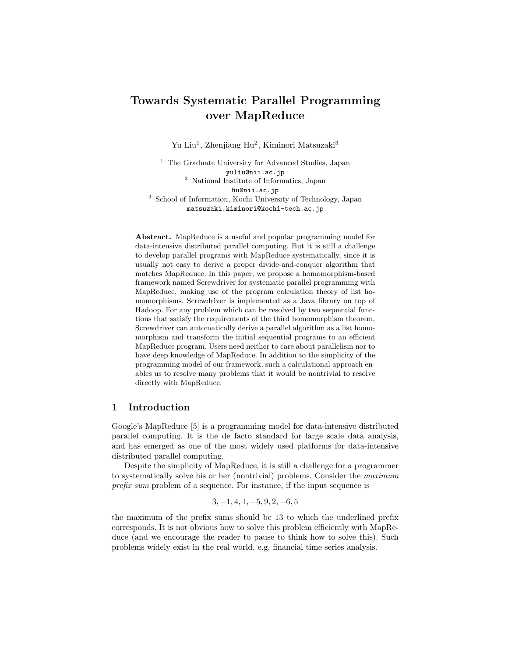# Towards Systematic Parallel Programming over MapReduce

Yu Liu<sup>1</sup>, Zhenjiang Hu<sup>2</sup>, Kiminori Matsuzaki<sup>3</sup>

<sup>1</sup> The Graduate University for Advanced Studies, Japan yuliu@nii.ac.jp <sup>2</sup> National Institute of Informatics, Japan hu@nii.ac.jp <sup>3</sup> School of Information, Kochi University of Technology, Japan matsuzaki.kiminori@kochi-tech.ac.jp

Abstract. MapReduce is a useful and popular programming model for data-intensive distributed parallel computing. But it is still a challenge to develop parallel programs with MapReduce systematically, since it is usually not easy to derive a proper divide-and-conquer algorithm that matches MapReduce. In this paper, we propose a homomorphism-based framework named Screwdriver for systematic parallel programming with MapReduce, making use of the program calculation theory of list homomorphisms. Screwdriver is implemented as a Java library on top of Hadoop. For any problem which can be resolved by two sequential functions that satisfy the requirements of the third homomorphism theorem, Screwdriver can automatically derive a parallel algorithm as a list homomorphism and transform the initial sequential programs to an efficient MapReduce program. Users need neither to care about parallelism nor to have deep knowledge of MapReduce. In addition to the simplicity of the programming model of our framework, such a calculational approach enables us to resolve many problems that it would be nontrivial to resolve directly with MapReduce.

## 1 Introduction

Google's MapReduce [5] is a programming model for data-intensive distributed parallel computing. It is the de facto standard for large scale data analysis, and has emerged as one of the most widely used platforms for data-intensive distributed parallel computing.

Despite the simplicity of MapReduce, it is still a challenge for a programmer to systematically solve his or her (nontrivial) problems. Consider the maximum prefix sum problem of a sequence. For instance, if the input sequence is

 $3, -1, 4, 1, -5, 9, 2, -6, 5$ 

the maximum of the prefix sums should be 13 to which the underlined prefix corresponds. It is not obvious how to solve this problem efficiently with MapReduce (and we encourage the reader to pause to think how to solve this). Such problems widely exist in the real world, e.g, financial time series analysis.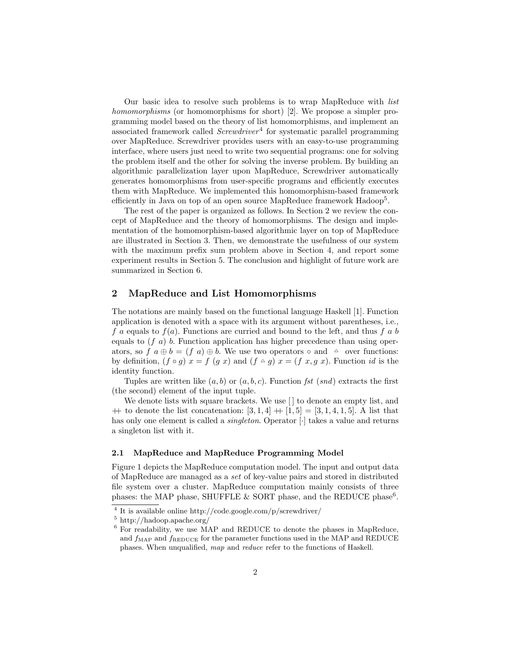Our basic idea to resolve such problems is to wrap MapReduce with list homomorphisms (or homomorphisms for short) [2]. We propose a simpler programming model based on the theory of list homomorphisms, and implement an associated framework called  $Server<sup>4</sup>$  for systematic parallel programming over MapReduce. Screwdriver provides users with an easy-to-use programming interface, where users just need to write two sequential programs: one for solving the problem itself and the other for solving the inverse problem. By building an algorithmic parallelization layer upon MapReduce, Screwdriver automatically generates homomorphisms from user-specific programs and efficiently executes them with MapReduce. We implemented this homomorphism-based framework efficiently in Java on top of an open source MapReduce framework Hadoop<sup>5</sup>.

The rest of the paper is organized as follows. In Section 2 we review the concept of MapReduce and the theory of homomorphisms. The design and implementation of the homomorphism-based algorithmic layer on top of MapReduce are illustrated in Section 3. Then, we demonstrate the usefulness of our system with the maximum prefix sum problem above in Section 4, and report some experiment results in Section 5. The conclusion and highlight of future work are summarized in Section 6.

## 2 MapReduce and List Homomorphisms

The notations are mainly based on the functional language Haskell [1]. Function application is denoted with a space with its argument without parentheses, i.e., f a equals to  $f(a)$ . Functions are curried and bound to the left, and thus f a b equals to  $(f \, a)$  b. Function application has higher precedence than using operators, so  $f \ a \oplus b = (f \ a) \oplus b$ . We use two operators  $\circ$  and  $\varphi$  over functions: by definition,  $(f \circ g) x = f(g x)$  and  $(f \circ g) x = (f x, g x)$ . Function id is the identity function.

Tuples are written like  $(a, b)$  or  $(a, b, c)$ . Function fst  $(snd)$  extracts the first (the second) element of the input tuple.

We denote lists with square brackets. We use  $\lceil$  to denote an empty list, and  $+$  to denote the list concatenation:  $[3, 1, 4] + [1, 5] = [3, 1, 4, 1, 5]$ . A list that has only one element is called a *singleton*. Operator  $\lceil \cdot \rceil$  takes a value and returns a singleton list with it.

## 2.1 MapReduce and MapReduce Programming Model

Figure 1 depicts the MapReduce computation model. The input and output data of MapReduce are managed as a set of key-value pairs and stored in distributed file system over a cluster. MapReduce computation mainly consists of three phases: the MAP phase, SHUFFLE & SORT phase, and the REDUCE phase<sup>6</sup>.

<sup>4</sup> It is available online http://code.google.com/p/screwdriver/

<sup>5</sup> http://hadoop.apache.org/

<sup>6</sup> For readability, we use MAP and REDUCE to denote the phases in MapReduce, and  $f_{\text{MAP}}$  and  $f_{\text{REDUCE}}$  for the parameter functions used in the MAP and REDUCE phases. When unqualified, map and reduce refer to the functions of Haskell.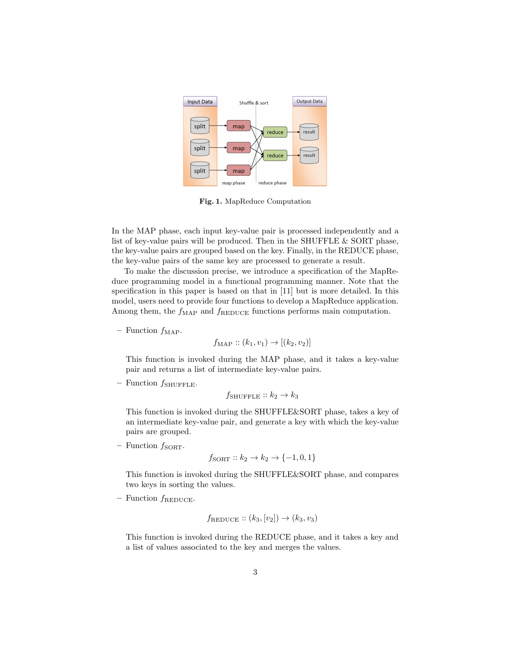

Fig. 1. MapReduce Computation

In the MAP phase, each input key-value pair is processed independently and a list of key-value pairs will be produced. Then in the SHUFFLE  $&$  SORT phase, the key-value pairs are grouped based on the key. Finally, in the REDUCE phase, the key-value pairs of the same key are processed to generate a result.

To make the discussion precise, we introduce a specification of the MapReduce programming model in a functional programming manner. Note that the specification in this paper is based on that in [11] but is more detailed. In this model, users need to provide four functions to develop a MapReduce application. Among them, the  $f_{\text{MAP}}$  and  $f_{\text{REDUCE}}$  functions performs main computation.

– Function  $f_{\text{MAP}}$ .

$$
f_{\text{MAP}}
$$
 ::  $(k_1, v_1) \rightarrow [(k_2, v_2)]$ 

This function is invoked during the MAP phase, and it takes a key-value pair and returns a list of intermediate key-value pairs.

– Function  $f_{\text{SHUFFLE}}$ .

 $f_{\text{SHUFFLE}} :: k_2 \rightarrow k_3$ 

This function is invoked during the SHUFFLE&SORT phase, takes a key of an intermediate key-value pair, and generate a key with which the key-value pairs are grouped.

 $-$  Function  $f_{\text{SORT}}$ .

$$
f_{\text{SORT}} :: k_2 \to k_2 \to \{-1, 0, 1\}
$$

This function is invoked during the SHUFFLE&SORT phase, and compares two keys in sorting the values.

– Function  $f_{REDUCE}$ .

$$
f_{\text{REDUCE}} :: (k_3, [v_2]) \rightarrow (k_3, v_3)
$$

This function is invoked during the REDUCE phase, and it takes a key and a list of values associated to the key and merges the values.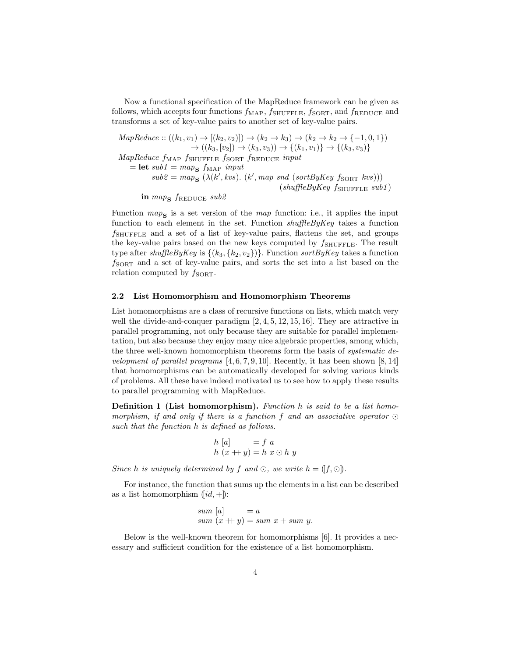Now a functional specification of the MapReduce framework can be given as follows, which accepts four functions  $f_{\text{MAP}}$ ,  $f_{\text{SHUFFLE}}$ ,  $f_{\text{SORT}}$ , and  $f_{\text{REDUCE}}$  and transforms a set of key-value pairs to another set of key-value pairs.

 $MapReduce:: ((k_1, v_1) \rightarrow [(k_2, v_2)]) \rightarrow (k_2 \rightarrow k_3) \rightarrow (k_2 \rightarrow k_2 \rightarrow \{-1, 0, 1\})$  $\rightarrow ((k_3, [v_2]) \rightarrow (k_3, v_3)) \rightarrow \{(k_1, v_1)\} \rightarrow \{(k_3, v_3)\}$  $MapReduce f<sub>MAP</sub> f<sub>SHUFFLE</sub> f<sub>SORT</sub> f<sub>REDUCE</sub> input$  $=$  let  $sub1 = map_S f_{MAP}$  input  $sub2 = map_{\mathbf{S}} (\lambda(k', kvs) \ldotp (k', map \;snd \; (sortByKey \; f_{\text{SORT}} \; kvs)))$  $(shuffleByKey f_{SHUFFLE} sub1)$ 

in map<sub>s</sub>  $f_{\text{REDUCE}} sub2$ 

Function  $map_{\mathbf{S}}$  is a set version of the *map* function: i.e., it applies the input function to each element in the set. Function  $shuffleByKey$  takes a function  $f_{\text{SHUFFLE}}$  and a set of a list of key-value pairs, flattens the set, and groups the key-value pairs based on the new keys computed by  $f_{\text{SHUFFLE}}$ . The result type after shuffleByKey is  $\{(k_3, \{k_2, v_2\})\}$ . Function sortByKey takes a function  $f_{\text{SORT}}$  and a set of key-value pairs, and sorts the set into a list based on the relation computed by  $f_{\text{SORT}}$ .

## 2.2 List Homomorphism and Homomorphism Theorems

List homomorphisms are a class of recursive functions on lists, which match very well the divide-and-conquer paradigm  $[2, 4, 5, 12, 15, 16]$ . They are attractive in parallel programming, not only because they are suitable for parallel implementation, but also because they enjoy many nice algebraic properties, among which, the three well-known homomorphism theorems form the basis of *systematic de*velopment of parallel programs  $[4, 6, 7, 9, 10]$ . Recently, it has been shown  $[8, 14]$ that homomorphisms can be automatically developed for solving various kinds of problems. All these have indeed motivated us to see how to apply these results to parallel programming with MapReduce.

Definition 1 (List homomorphism). Function h is said to be a list homomorphism, if and only if there is a function f and an associative operator  $\odot$ such that the function h is defined as follows.

$$
\begin{array}{ll} h [a] & = f a \\ h (x + y) = h x \odot h y \end{array}
$$

Since h is uniquely determined by f and  $\odot$ , we write  $h = (f, \odot)$ .

For instance, the function that sums up the elements in a list can be described as a list homomorphism  $(id, +)$ :

```
sum [a] = asum(x + y) = sum x + sum y.
```
Below is the well-known theorem for homomorphisms [6]. It provides a necessary and sufficient condition for the existence of a list homomorphism.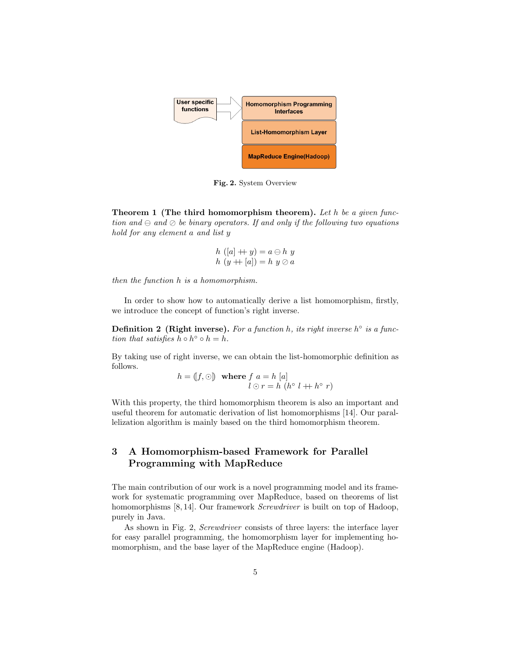

Fig. 2. System Overview

**Theorem 1 (The third homomorphism theorem).** Let h be a given function and  $\ominus$  and  $\oslash$  be binary operators. If and only if the following two equations hold for any element a and list y

> $h([a] + y) = a \ominus h y$  $h(y + [a]) = h y \oslash a$

then the function h is a homomorphism.

In order to show how to automatically derive a list homomorphism, firstly, we introduce the concept of function's right inverse.

**Definition 2** (Right inverse). For a function h, its right inverse  $h^{\circ}$  is a function that satisfies  $h \circ h^{\circ} \circ h = h$ .

By taking use of right inverse, we can obtain the list-homomorphic definition as follows.

> $h = (f, \odot)$  where  $f \circ a = h [a]$  $l \odot r = h \; (h^{\circ} \; l + h^{\circ} \; r)$

With this property, the third homomorphism theorem is also an important and useful theorem for automatic derivation of list homomorphisms [14]. Our parallelization algorithm is mainly based on the third homomorphism theorem.

## 3 A Homomorphism-based Framework for Parallel Programming with MapReduce

The main contribution of our work is a novel programming model and its framework for systematic programming over MapReduce, based on theorems of list homomorphisms [8, 14]. Our framework *Screwdriver* is built on top of Hadoop, purely in Java.

As shown in Fig. 2, Screwdriver consists of three layers: the interface layer for easy parallel programming, the homomorphism layer for implementing homomorphism, and the base layer of the MapReduce engine (Hadoop).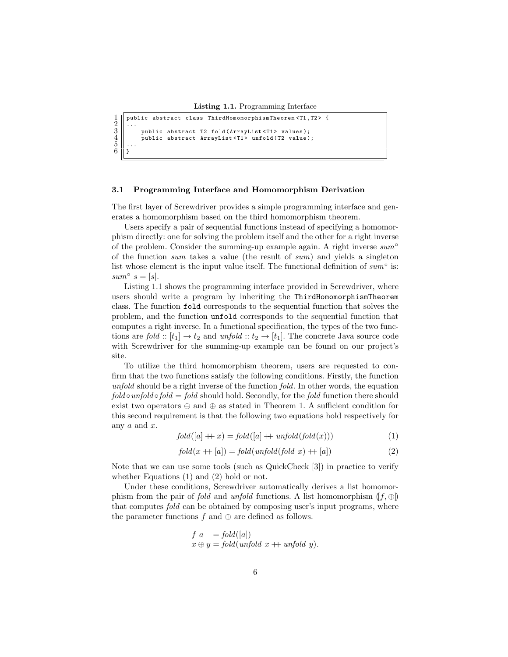```
1 \parallel public abstract class ThirdHomomorphismTheorem <T1, T2> {
2 \parallel \dotspublic abstract T2 fold (ArrayList <T1> values);
         public abstract ArrayList <T1> unfold (T2 value);
5 \parallel \dots6 \parallel }
```
#### 3.1 Programming Interface and Homomorphism Derivation

The first layer of Screwdriver provides a simple programming interface and generates a homomorphism based on the third homomorphism theorem.

Users specify a pair of sequential functions instead of specifying a homomorphism directly: one for solving the problem itself and the other for a right inverse of the problem. Consider the summing-up example again. A right inverse  $sum<sup>°</sup>$ of the function sum takes a value (the result of sum) and yields a singleton list whose element is the input value itself. The functional definition of  $sum<sup>°</sup>$  is:  $sum^{\circ} s = [s].$ 

Listing 1.1 shows the programming interface provided in Screwdriver, where users should write a program by inheriting the ThirdHomomorphismTheorem class. The function fold corresponds to the sequential function that solves the problem, and the function unfold corresponds to the sequential function that computes a right inverse. In a functional specification, the types of the two functions are fold ::  $[t_1] \rightarrow t_2$  and  $unfold :: t_2 \rightarrow [t_1]$ . The concrete Java source code with Screwdriver for the summing-up example can be found on our project's site.

To utilize the third homomorphism theorem, users are requested to confirm that the two functions satisfy the following conditions. Firstly, the function unfold should be a right inverse of the function fold. In other words, the equation  $fold \circ infold \circ fold = fold$  should hold. Secondly, for the fold function there should exist two operators  $\ominus$  and  $\oplus$  as stated in Theorem 1. A sufficient condition for this second requirement is that the following two equations hold respectively for any a and x.

$$
fold([a] + x) = fold([a] + unfold(fold(x)))
$$
\n<sup>(1)</sup>

$$
fold(x + [a]) = fold(unfold(fold\ x) + [a])
$$
\n(2)

Note that we can use some tools (such as QuickCheck [3]) in practice to verify whether Equations (1) and (2) hold or not.

Under these conditions, Screwdriver automatically derives a list homomorphism from the pair of fold and unfold functions. A list homomorphism  $(f, \oplus)$ that computes fold can be obtained by composing user's input programs, where the parameter functions  $f$  and  $\oplus$  are defined as follows.

$$
f a = fold([a])
$$
  

$$
x \oplus y = fold(unfold x + unfold y).
$$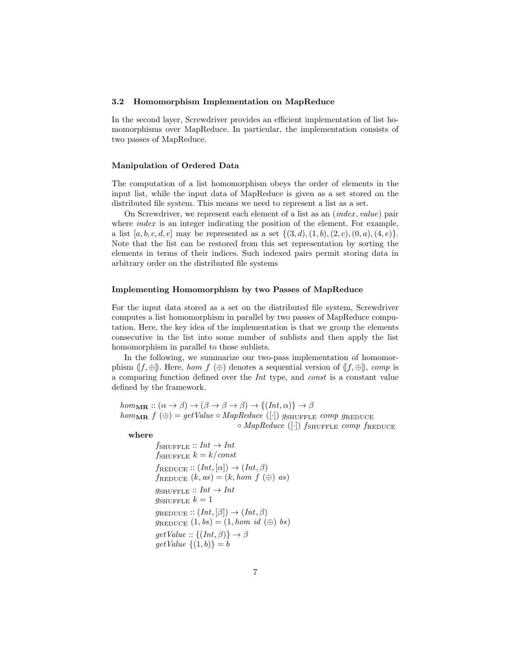### 3.2 Homomorphism Implementation on MapReduce

In the second layer, Screwdriver provides an efficient implementation of list homomorphisms over MapReduce. In particular, the implementation consists of two passes of MapReduce.

#### Manipulation of Ordered Data

The computation of a list homomorphism obeys the order of elements in the input list, while the input data of MapReduce is given as a set stored on the distributed file system. This means we need to represent a list as a set.

On Screwdriver, we represent each element of a list as an *(index, value)* pair where *index* is an integer indicating the position of the element. For example, a list  $[a, b, c, d, e]$  may be represented as a set  $\{(3, d), (1, b), (2, c), (0, a), (4, e)\}.$ Note that the list can be restored from this set representation by sorting the elements in terms of their indices. Such indexed pairs permit storing data in arbitrary order on the distributed file systems

## Implementing Homomorphism by two Passes of MapReduce

For the input data stored as a set on the distributed file system, Screwdriver computes a list homomorphism in parallel by two passes of MapReduce computation. Here, the key idea of the implementation is that we group the elements consecutive in the list into some number of sublists and then apply the list homomorphism in parallel to those sublists.

In the following, we summarize our two-pass implementation of homomorphism  $(f, \oplus)$ . Here, hom  $f(\oplus)$  denotes a sequential version of  $(f, \oplus)$ , comp is a comparing function defined over the Int type, and const is a constant value defined by the framework.

 $hom_{\mathbf{MR}} : (\alpha \to \beta) \to (\beta \to \beta \to \beta) \to \{ (Int, \alpha) \} \to \beta$ hom $_{MR} f (\oplus) = getValue \circ MapReduce ([\cdot]) g_{SHUFFLE} comp g_{REDUCE}$  $\circ$  MapReduce ([·]) f<sub>SHUFFLE</sub> comp f<sub>REDUCE</sub>

#### where

 $f_{\text{SHUFFLE}} :: Int \rightarrow Int$  $f_{\text{SHUFFLE}} k = k / const$  $f_{\text{REDUCE}} :: (Int, [\alpha]) \rightarrow (Int, \beta)$  $f_{\text{REDUCE}} (k, as) = (k, hom \ f \ (\oplus) \ as)$  $g_{\text{SHUFFLE}} :: Int \rightarrow Int$  $q_{\text{shilfekt}} k = 1$  $g_{\text{REDUCE}} :: (Int, \lbrack \beta \rbrack) \rightarrow (Int, \beta)$  $g_{\text{REDUCE}} (1, bs) = (1, hom \ id \ (\oplus) \ bs)$  $getValue :: \{(Int, \beta)\} \rightarrow \beta$  $getValue \{(1, b)\} = b$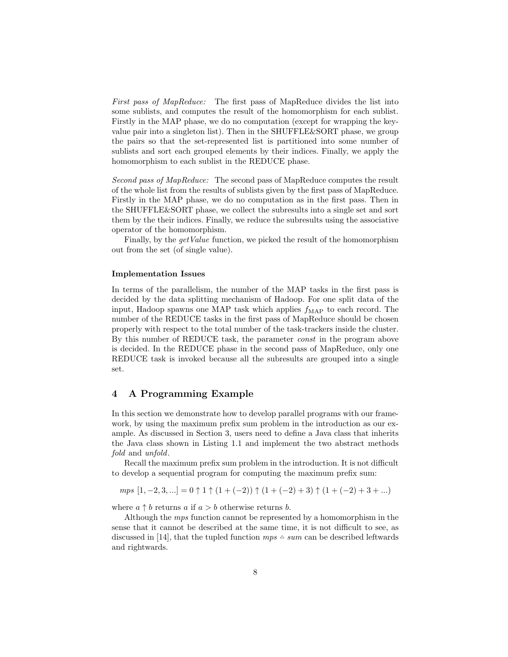First pass of MapReduce: The first pass of MapReduce divides the list into some sublists, and computes the result of the homomorphism for each sublist. Firstly in the MAP phase, we do no computation (except for wrapping the keyvalue pair into a singleton list). Then in the SHUFFLE&SORT phase, we group the pairs so that the set-represented list is partitioned into some number of sublists and sort each grouped elements by their indices. Finally, we apply the homomorphism to each sublist in the REDUCE phase.

Second pass of MapReduce: The second pass of MapReduce computes the result of the whole list from the results of sublists given by the first pass of MapReduce. Firstly in the MAP phase, we do no computation as in the first pass. Then in the SHUFFLE&SORT phase, we collect the subresults into a single set and sort them by the their indices. Finally, we reduce the subresults using the associative operator of the homomorphism.

Finally, by the getValue function, we picked the result of the homomorphism out from the set (of single value).

## Implementation Issues

In terms of the parallelism, the number of the MAP tasks in the first pass is decided by the data splitting mechanism of Hadoop. For one split data of the input, Hadoop spawns one MAP task which applies  $f_{\text{MAP}}$  to each record. The number of the REDUCE tasks in the first pass of MapReduce should be chosen properly with respect to the total number of the task-trackers inside the cluster. By this number of REDUCE task, the parameter const in the program above is decided. In the REDUCE phase in the second pass of MapReduce, only one REDUCE task is invoked because all the subresults are grouped into a single set.

## 4 A Programming Example

In this section we demonstrate how to develop parallel programs with our framework, by using the maximum prefix sum problem in the introduction as our example. As discussed in Section 3, users need to define a Java class that inherits the Java class shown in Listing 1.1 and implement the two abstract methods fold and unfold.

Recall the maximum prefix sum problem in the introduction. It is not difficult to develop a sequential program for computing the maximum prefix sum:

$$
mps [1, -2, 3, \ldots] = 0 \uparrow 1 \uparrow (1 + (-2)) \uparrow (1 + (-2) + 3) \uparrow (1 + (-2) + 3 + \ldots)
$$

where  $a \uparrow b$  returns a if  $a > b$  otherwise returns b.

Although the mps function cannot be represented by a homomorphism in the sense that it cannot be described at the same time, it is not difficult to see, as discussed in [14], that the tupled function  $mps \triangleq sum$  can be described leftwards and rightwards.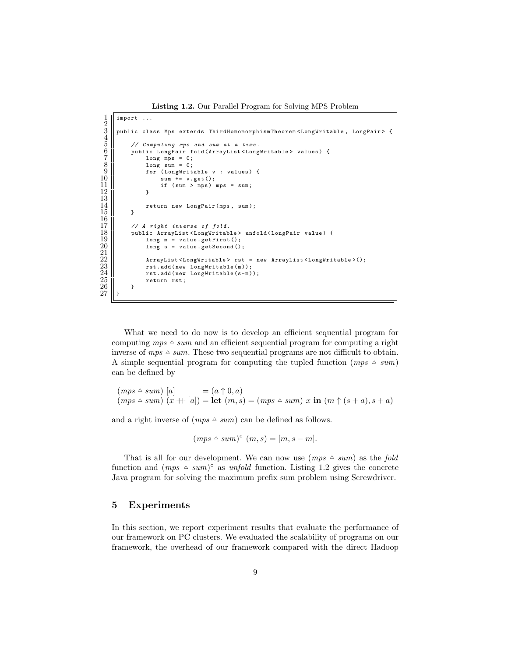Listing 1.2. Our Parallel Program for Solving MPS Problem

```
1 | import ...
  2
      public class Mps extends ThirdHomomorphismTheorem<LongWritable, LongPair> {
  4
             5 // Computing mps and sum at a time .
            6 public LongPair fold ( ArrayList < LongWritable > values ) {
  7 \parallel long mps = 0;
  8 \parallel long sum = 0;
\begin{bmatrix} 9 \\ 9 \\ 10 \end{bmatrix} for (LongWritable v : values) {<br>\begin{bmatrix} 10 \\ 10 \end{bmatrix} sum t = v.get();\begin{array}{c|c} 10 & \text{sum } +\text{= v.get();} \\ 11 & \text{if (sum > mps)} \end{array}if (sum > mps) mps = sum;
12 }
\begin{array}{c} 13 \\ 14 \end{array}return new LongPair (mps, sum);
15 }
\frac{16}{17}\begin{array}{c|c} 17 & \text{ } // \text{ } A \text{ right inverse of fold.} \end{array} public ArrayList < LongWritab
\begin{array}{c|c} 18 & \text{public ArrayList} < LongWriteble > unfold(LongPair value) < 19 \end{array}long m = value.getFirst();
                  long s = value.getSecond();21
                   ArrayList <LongWritable> rst = new ArrayList <LongWritable>();
                   rst.add (new LongWritable (m));
                  rst.add (new LongWritable (s-m));
            return rst;<br>}
26 || }
27 \parallel }
```
What we need to do now is to develop an efficient sequential program for computing  $mps \triangleq sum$  and an efficient sequential program for computing a right inverse of  $mps \triangle sum$ . These two sequential programs are not difficult to obtain. A simple sequential program for computing the tupled function  $(mps \triangle sum)$ can be defined by

 $(mps \triangle sum) [a] = (a \uparrow 0, a)$  $(mps \triangle sum)$   $(x + [a]) =$  let  $(m, s) = (mps \triangle sum) x$  in  $(m \uparrow (s + a), s + a)$ 

and a right inverse of  $(mps \triangle sum)$  can be defined as follows.

$$
(mps \triangle sum)^{\circ} (m, s) = [m, s - m].
$$

That is all for our development. We can now use  $(mps \triangle sum)$  as the fold function and  $(mps \triangle sum)^{\circ}$  as unfold function. Listing 1.2 gives the concrete Java program for solving the maximum prefix sum problem using Screwdriver.

## 5 Experiments

In this section, we report experiment results that evaluate the performance of our framework on PC clusters. We evaluated the scalability of programs on our framework, the overhead of our framework compared with the direct Hadoop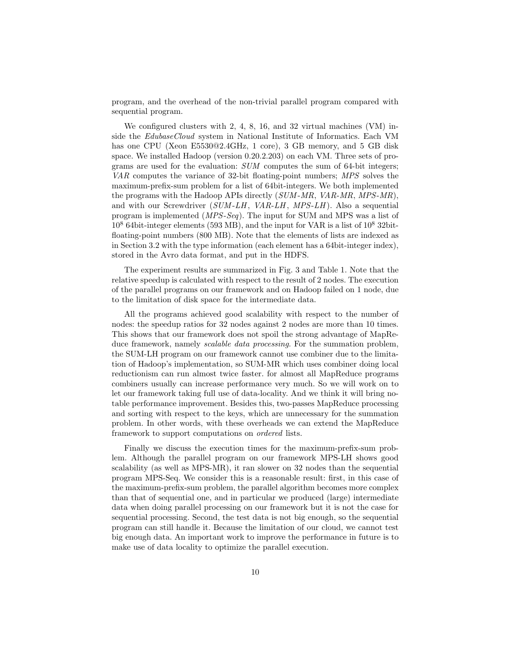program, and the overhead of the non-trivial parallel program compared with sequential program.

We configured clusters with 2, 4, 8, 16, and 32 virtual machines (VM) inside the EdubaseCloud system in National Institute of Informatics. Each VM has one CPU (Xeon E5530@2.4GHz, 1 core), 3 GB memory, and 5 GB disk space. We installed Hadoop (version 0.20.2.203) on each VM. Three sets of programs are used for the evaluation: SUM computes the sum of 64-bit integers; VAR computes the variance of 32-bit floating-point numbers; MPS solves the maximum-prefix-sum problem for a list of 64bit-integers. We both implemented the programs with the Hadoop APIs directly (SUM-MR, VAR-MR, MPS-MR), and with our Screwdriver (SUM-LH, VAR-LH, MPS-LH). Also a sequential program is implemented (MPS-Seq). The input for SUM and MPS was a list of  $10^8$  64bit-integer elements (593 MB), and the input for VAR is a list of  $10^8$  32bitfloating-point numbers (800 MB). Note that the elements of lists are indexed as in Section 3.2 with the type information (each element has a 64bit-integer index), stored in the Avro data format, and put in the HDFS.

The experiment results are summarized in Fig. 3 and Table 1. Note that the relative speedup is calculated with respect to the result of 2 nodes. The execution of the parallel programs on our framework and on Hadoop failed on 1 node, due to the limitation of disk space for the intermediate data.

All the programs achieved good scalability with respect to the number of nodes: the speedup ratios for 32 nodes against 2 nodes are more than 10 times. This shows that our framework does not spoil the strong advantage of MapReduce framework, namely *scalable data processing*. For the summation problem, the SUM-LH program on our framework cannot use combiner due to the limitation of Hadoop's implementation, so SUM-MR which uses combiner doing local reductionism can run almost twice faster. for almost all MapReduce programs combiners usually can increase performance very much. So we will work on to let our framework taking full use of data-locality. And we think it will bring notable performance improvement. Besides this, two-passes MapReduce processing and sorting with respect to the keys, which are unnecessary for the summation problem. In other words, with these overheads we can extend the MapReduce framework to support computations on ordered lists.

Finally we discuss the execution times for the maximum-prefix-sum problem. Although the parallel program on our framework MPS-LH shows good scalability (as well as MPS-MR), it ran slower on 32 nodes than the sequential program MPS-Seq. We consider this is a reasonable result: first, in this case of the maximum-prefix-sum problem, the parallel algorithm becomes more complex than that of sequential one, and in particular we produced (large) intermediate data when doing parallel processing on our framework but it is not the case for sequential processing. Second, the test data is not big enough, so the sequential program can still handle it. Because the limitation of our cloud, we cannot test big enough data. An important work to improve the performance in future is to make use of data locality to optimize the parallel execution.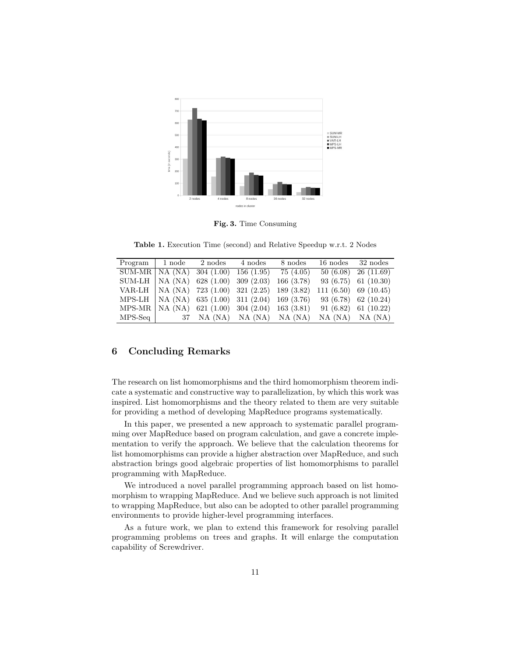

Fig. 3. Time Consuming

Table 1. Execution Time (second) and Relative Speedup w.r.t. 2 Nodes

|  | Program   1 node 2 nodes 4 nodes 8 nodes                               |                       | 16 nodes 32 nodes      |
|--|------------------------------------------------------------------------|-----------------------|------------------------|
|  | SUM-MR   NA (NA) $304$ (1.00) 156 (1.95) 75 (4.05)                     |                       | $50(6.08)$ 26 (11.69)  |
|  | SUM-LH   NA (NA) 628 (1.00) 309 (2.03) 166 (3.78)                      | $93(6.75)$ 61 (10.30) |                        |
|  | VAR-LH   NA (NA) 723 (1.00) 321 (2.25) 189 (3.82)                      |                       | $111(6.50)$ 69 (10.45) |
|  | MPS-LH   NA (NA) 635 (1.00) 311 (2.04) 169 (3.76) 93 (6.78) 62 (10.24) |                       |                        |
|  | MPS-MR   NA (NA) 621 (1.00) 304 (2.04) 163 (3.81)                      |                       | $91(6.82)$ 61 (10.22)  |
|  | $MPS-Seq$ 37 NA (NA) NA (NA) NA (NA)                                   |                       | NA (NA) NA (NA)        |

## 6 Concluding Remarks

The research on list homomorphisms and the third homomorphism theorem indicate a systematic and constructive way to parallelization, by which this work was inspired. List homomorphisms and the theory related to them are very suitable for providing a method of developing MapReduce programs systematically.

In this paper, we presented a new approach to systematic parallel programming over MapReduce based on program calculation, and gave a concrete implementation to verify the approach. We believe that the calculation theorems for list homomorphisms can provide a higher abstraction over MapReduce, and such abstraction brings good algebraic properties of list homomorphisms to parallel programming with MapReduce.

We introduced a novel parallel programming approach based on list homomorphism to wrapping MapReduce. And we believe such approach is not limited to wrapping MapReduce, but also can be adopted to other parallel programming environments to provide higher-level programming interfaces.

As a future work, we plan to extend this framework for resolving parallel programming problems on trees and graphs. It will enlarge the computation capability of Screwdriver.